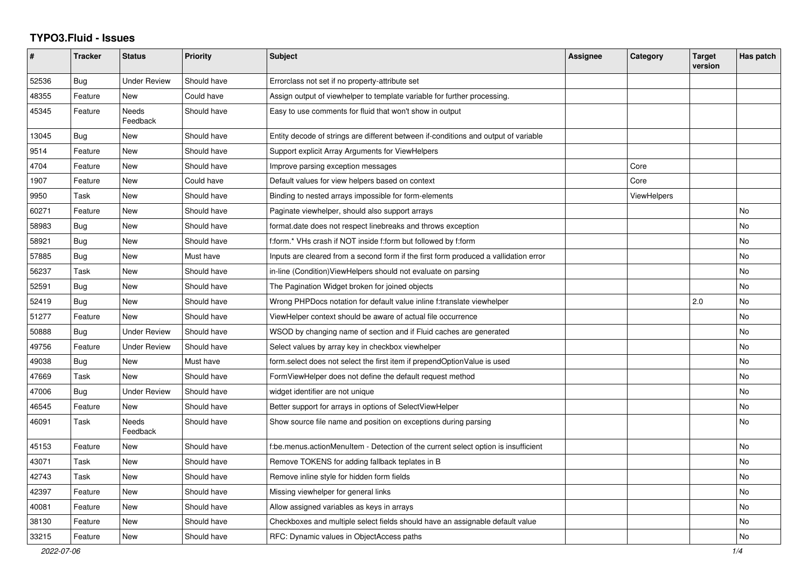## **TYPO3.Fluid - Issues**

| #     | <b>Tracker</b> | <b>Status</b>       | <b>Priority</b> | Subject                                                                              | Assignee | Category           | <b>Target</b><br>version | Has patch |
|-------|----------------|---------------------|-----------------|--------------------------------------------------------------------------------------|----------|--------------------|--------------------------|-----------|
| 52536 | Bug            | <b>Under Review</b> | Should have     | Errorclass not set if no property-attribute set                                      |          |                    |                          |           |
| 48355 | Feature        | New                 | Could have      | Assign output of viewhelper to template variable for further processing.             |          |                    |                          |           |
| 45345 | Feature        | Needs<br>Feedback   | Should have     | Easy to use comments for fluid that won't show in output                             |          |                    |                          |           |
| 13045 | Bug            | <b>New</b>          | Should have     | Entity decode of strings are different between if-conditions and output of variable  |          |                    |                          |           |
| 9514  | Feature        | <b>New</b>          | Should have     | Support explicit Array Arguments for ViewHelpers                                     |          |                    |                          |           |
| 4704  | Feature        | New                 | Should have     | Improve parsing exception messages                                                   |          | Core               |                          |           |
| 1907  | Feature        | New                 | Could have      | Default values for view helpers based on context                                     |          | Core               |                          |           |
| 9950  | Task           | New                 | Should have     | Binding to nested arrays impossible for form-elements                                |          | <b>ViewHelpers</b> |                          |           |
| 60271 | Feature        | New                 | Should have     | Paginate viewhelper, should also support arrays                                      |          |                    |                          | No        |
| 58983 | Bug            | New                 | Should have     | format.date does not respect linebreaks and throws exception                         |          |                    |                          | <b>No</b> |
| 58921 | Bug            | <b>New</b>          | Should have     | f:form.* VHs crash if NOT inside f:form but followed by f:form                       |          |                    |                          | No        |
| 57885 | Bug            | <b>New</b>          | Must have       | Inputs are cleared from a second form if the first form produced a vallidation error |          |                    |                          | <b>No</b> |
| 56237 | Task           | <b>New</b>          | Should have     | in-line (Condition) ViewHelpers should not evaluate on parsing                       |          |                    |                          | <b>No</b> |
| 52591 | Bug            | New                 | Should have     | The Pagination Widget broken for joined objects                                      |          |                    |                          | No        |
| 52419 | Bug            | New                 | Should have     | Wrong PHPDocs notation for default value inline f:translate viewhelper               |          |                    | 2.0                      | No        |
| 51277 | Feature        | <b>New</b>          | Should have     | ViewHelper context should be aware of actual file occurrence                         |          |                    |                          | <b>No</b> |
| 50888 | Bug            | <b>Under Review</b> | Should have     | WSOD by changing name of section and if Fluid caches are generated                   |          |                    |                          | <b>No</b> |
| 49756 | Feature        | <b>Under Review</b> | Should have     | Select values by array key in checkbox viewhelper                                    |          |                    |                          | No        |
| 49038 | Bug            | <b>New</b>          | Must have       | form.select does not select the first item if prependOptionValue is used             |          |                    |                          | No        |
| 47669 | Task           | <b>New</b>          | Should have     | FormViewHelper does not define the default request method                            |          |                    |                          | No        |
| 47006 | Bug            | <b>Under Review</b> | Should have     | widget identifier are not unique                                                     |          |                    |                          | <b>No</b> |
| 46545 | Feature        | New                 | Should have     | Better support for arrays in options of SelectViewHelper                             |          |                    |                          | No        |
| 46091 | Task           | Needs<br>Feedback   | Should have     | Show source file name and position on exceptions during parsing                      |          |                    |                          | No        |
| 45153 | Feature        | <b>New</b>          | Should have     | f:be.menus.actionMenuItem - Detection of the current select option is insufficient   |          |                    |                          | No        |
| 43071 | Task           | New                 | Should have     | Remove TOKENS for adding fallback teplates in B                                      |          |                    |                          | No        |
| 42743 | Task           | New                 | Should have     | Remove inline style for hidden form fields                                           |          |                    |                          | <b>No</b> |
| 42397 | Feature        | <b>New</b>          | Should have     | Missing viewhelper for general links                                                 |          |                    |                          | No        |
| 40081 | Feature        | New                 | Should have     | Allow assigned variables as keys in arrays                                           |          |                    |                          | <b>No</b> |
| 38130 | Feature        | New                 | Should have     | Checkboxes and multiple select fields should have an assignable default value        |          |                    |                          | No        |
| 33215 | Feature        | New                 | Should have     | RFC: Dynamic values in ObjectAccess paths                                            |          |                    |                          | No        |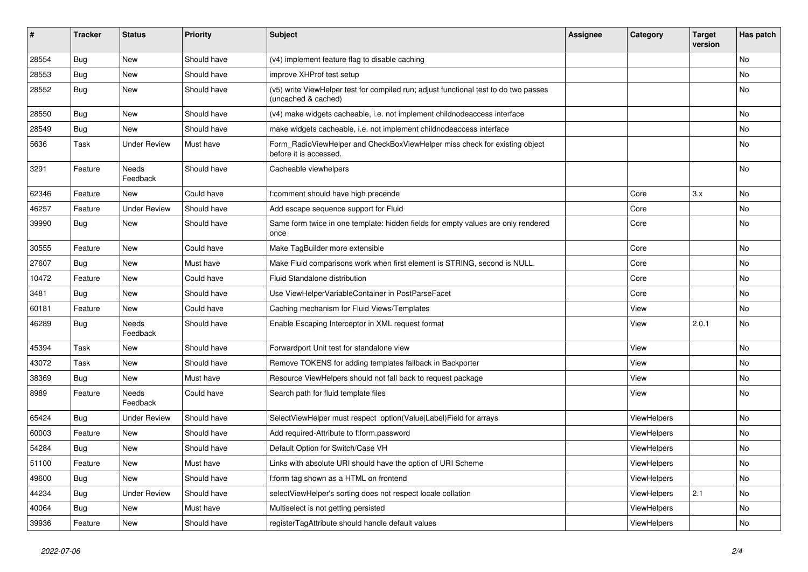| #     | <b>Tracker</b> | <b>Status</b>            | Priority    | Subject                                                                                                     | <b>Assignee</b> | Category    | <b>Target</b><br>version | Has patch |
|-------|----------------|--------------------------|-------------|-------------------------------------------------------------------------------------------------------------|-----------------|-------------|--------------------------|-----------|
| 28554 | Bug            | New                      | Should have | (v4) implement feature flag to disable caching                                                              |                 |             |                          | <b>No</b> |
| 28553 | Bug            | New                      | Should have | improve XHProf test setup                                                                                   |                 |             |                          | No        |
| 28552 | Bug            | New                      | Should have | (v5) write ViewHelper test for compiled run; adjust functional test to do two passes<br>(uncached & cached) |                 |             |                          | No        |
| 28550 | Bug            | New                      | Should have | (v4) make widgets cacheable, i.e. not implement childnodeaccess interface                                   |                 |             |                          | No        |
| 28549 | Bug            | New                      | Should have | make widgets cacheable, i.e. not implement childnodeaccess interface                                        |                 |             |                          | No        |
| 5636  | Task           | <b>Under Review</b>      | Must have   | Form_RadioViewHelper and CheckBoxViewHelper miss check for existing object<br>before it is accessed.        |                 |             |                          | No        |
| 3291  | Feature        | <b>Needs</b><br>Feedback | Should have | Cacheable viewhelpers                                                                                       |                 |             |                          | No        |
| 62346 | Feature        | New                      | Could have  | f:comment should have high precende                                                                         |                 | Core        | 3.x                      | No        |
| 46257 | Feature        | <b>Under Review</b>      | Should have | Add escape sequence support for Fluid                                                                       |                 | Core        |                          | <b>No</b> |
| 39990 | <b>Bug</b>     | New                      | Should have | Same form twice in one template: hidden fields for empty values are only rendered<br>once                   |                 | Core        |                          | No        |
| 30555 | Feature        | New                      | Could have  | Make TagBuilder more extensible                                                                             |                 | Core        |                          | No        |
| 27607 | Bug            | New                      | Must have   | Make Fluid comparisons work when first element is STRING, second is NULL.                                   |                 | Core        |                          | No        |
| 10472 | Feature        | New                      | Could have  | Fluid Standalone distribution                                                                               |                 | Core        |                          | No        |
| 3481  | Bug            | New                      | Should have | Use ViewHelperVariableContainer in PostParseFacet                                                           |                 | Core        |                          | No        |
| 60181 | Feature        | New                      | Could have  | Caching mechanism for Fluid Views/Templates                                                                 |                 | View        |                          | No        |
| 46289 | Bug            | <b>Needs</b><br>Feedback | Should have | Enable Escaping Interceptor in XML request format                                                           |                 | View        | 2.0.1                    | <b>No</b> |
| 45394 | Task           | New                      | Should have | Forwardport Unit test for standalone view                                                                   |                 | View        |                          | <b>No</b> |
| 43072 | Task           | New                      | Should have | Remove TOKENS for adding templates fallback in Backporter                                                   |                 | View        |                          | No        |
| 38369 | Bug            | New                      | Must have   | Resource ViewHelpers should not fall back to request package                                                |                 | View        |                          | No        |
| 8989  | Feature        | <b>Needs</b><br>Feedback | Could have  | Search path for fluid template files                                                                        |                 | View        |                          | No        |
| 65424 | Bug            | <b>Under Review</b>      | Should have | SelectViewHelper must respect option(Value Label)Field for arrays                                           |                 | ViewHelpers |                          | No        |
| 60003 | Feature        | New                      | Should have | Add required-Attribute to f:form.password                                                                   |                 | ViewHelpers |                          | No        |
| 54284 | Bug            | New                      | Should have | Default Option for Switch/Case VH                                                                           |                 | ViewHelpers |                          | No        |
| 51100 | Feature        | New                      | Must have   | Links with absolute URI should have the option of URI Scheme                                                |                 | ViewHelpers |                          | No        |
| 49600 | Bug            | New                      | Should have | f:form tag shown as a HTML on frontend                                                                      |                 | ViewHelpers |                          | No        |
| 44234 | Bug            | <b>Under Review</b>      | Should have | selectViewHelper's sorting does not respect locale collation                                                |                 | ViewHelpers | 2.1                      | No        |
| 40064 | <b>Bug</b>     | New                      | Must have   | Multiselect is not getting persisted                                                                        |                 | ViewHelpers |                          | No        |
| 39936 | Feature        | New                      | Should have | registerTagAttribute should handle default values                                                           |                 | ViewHelpers |                          | No        |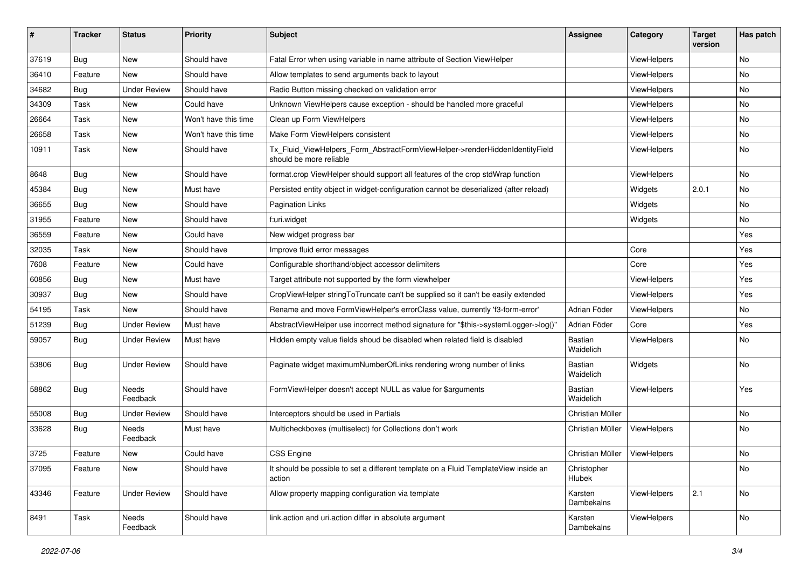| #     | <b>Tracker</b> | <b>Status</b>       | <b>Priority</b>      | Subject                                                                                                | <b>Assignee</b>             | Category           | <b>Target</b><br>version | Has patch |
|-------|----------------|---------------------|----------------------|--------------------------------------------------------------------------------------------------------|-----------------------------|--------------------|--------------------------|-----------|
| 37619 | Bug            | New                 | Should have          | Fatal Error when using variable in name attribute of Section ViewHelper                                |                             | ViewHelpers        |                          | No        |
| 36410 | Feature        | New                 | Should have          | Allow templates to send arguments back to layout                                                       |                             | ViewHelpers        |                          | No        |
| 34682 | Bug            | <b>Under Review</b> | Should have          | Radio Button missing checked on validation error                                                       |                             | ViewHelpers        |                          | No        |
| 34309 | Task           | New                 | Could have           | Unknown ViewHelpers cause exception - should be handled more graceful                                  |                             | ViewHelpers        |                          | No        |
| 26664 | Task           | New                 | Won't have this time | Clean up Form ViewHelpers                                                                              |                             | ViewHelpers        |                          | No        |
| 26658 | Task           | New                 | Won't have this time | Make Form ViewHelpers consistent                                                                       |                             | ViewHelpers        |                          | No        |
| 10911 | Task           | New                 | Should have          | Tx_Fluid_ViewHelpers_Form_AbstractFormViewHelper->renderHiddenIdentityField<br>should be more reliable |                             | ViewHelpers        |                          | No        |
| 8648  | Bug            | New                 | Should have          | format.crop ViewHelper should support all features of the crop stdWrap function                        |                             | ViewHelpers        |                          | No        |
| 45384 | Bug            | New                 | Must have            | Persisted entity object in widget-configuration cannot be deserialized (after reload)                  |                             | Widgets            | 2.0.1                    | <b>No</b> |
| 36655 | Bug            | New                 | Should have          | <b>Pagination Links</b>                                                                                |                             | Widgets            |                          | No        |
| 31955 | Feature        | New                 | Should have          | f:uri.widget                                                                                           |                             | Widgets            |                          | No        |
| 36559 | Feature        | New                 | Could have           | New widget progress bar                                                                                |                             |                    |                          | Yes       |
| 32035 | Task           | New                 | Should have          | Improve fluid error messages                                                                           |                             | Core               |                          | Yes       |
| 7608  | Feature        | New                 | Could have           | Configurable shorthand/object accessor delimiters                                                      |                             | Core               |                          | Yes       |
| 60856 | Bug            | New                 | Must have            | Target attribute not supported by the form viewhelper                                                  |                             | ViewHelpers        |                          | Yes       |
| 30937 | Bug            | New                 | Should have          | CropViewHelper stringToTruncate can't be supplied so it can't be easily extended                       |                             | ViewHelpers        |                          | Yes       |
| 54195 | Task           | New                 | Should have          | Rename and move FormViewHelper's errorClass value, currently 'f3-form-error'                           | Adrian Föder                | <b>ViewHelpers</b> |                          | No        |
| 51239 | Bug            | <b>Under Review</b> | Must have            | AbstractViewHelper use incorrect method signature for "\$this->systemLogger->log()"                    | Adrian Föder                | Core               |                          | Yes       |
| 59057 | Bug            | Under Review        | Must have            | Hidden empty value fields shoud be disabled when related field is disabled                             | <b>Bastian</b><br>Waidelich | <b>ViewHelpers</b> |                          | No        |
| 53806 | Bug            | <b>Under Review</b> | Should have          | Paginate widget maximumNumberOfLinks rendering wrong number of links                                   | Bastian<br>Waidelich        | Widgets            |                          | No        |
| 58862 | Bug            | Needs<br>Feedback   | Should have          | FormViewHelper doesn't accept NULL as value for \$arguments                                            | Bastian<br>Waidelich        | ViewHelpers        |                          | Yes       |
| 55008 | Bug            | <b>Under Review</b> | Should have          | Interceptors should be used in Partials                                                                | Christian Müller            |                    |                          | No        |
| 33628 | Bug            | Needs<br>Feedback   | Must have            | Multicheckboxes (multiselect) for Collections don't work                                               | Christian Müller            | ViewHelpers        |                          | No        |
| 3725  | Feature        | New                 | Could have           | <b>CSS Engine</b>                                                                                      | Christian Müller            | ViewHelpers        |                          | No        |
| 37095 | Feature        | New                 | Should have          | It should be possible to set a different template on a Fluid TemplateView inside an<br>action          | Christopher<br>Hlubek       |                    |                          | No        |
| 43346 | Feature        | <b>Under Review</b> | Should have          | Allow property mapping configuration via template                                                      | Karsten<br>Dambekalns       | ViewHelpers        | 2.1                      | No        |
| 8491  | Task           | Needs<br>Feedback   | Should have          | link.action and uri.action differ in absolute argument                                                 | Karsten<br>Dambekalns       | ViewHelpers        |                          | No        |